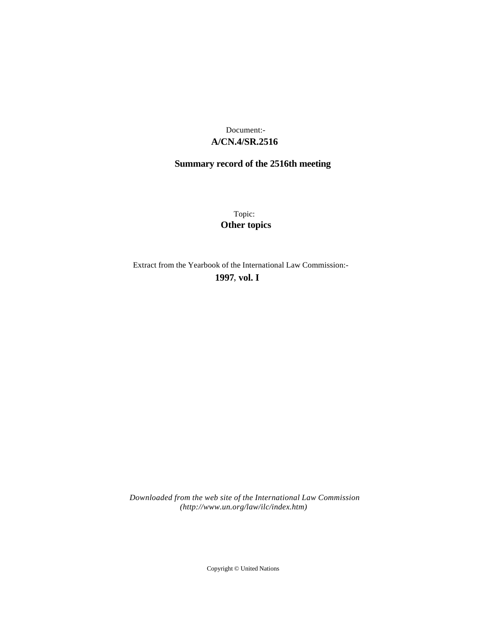## **A/CN.4/SR.2516** Document:-

# **Summary record of the 2516th meeting**

Topic: **Other topics**

Extract from the Yearbook of the International Law Commission:-

**1997** , **vol. I**

*Downloaded from the web site of the International Law Commission (http://www.un.org/law/ilc/index.htm)*

Copyright © United Nations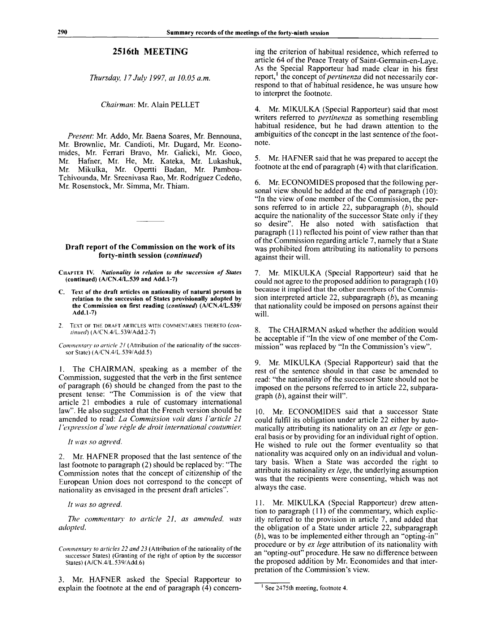### **2516th MEETING**

*Thursday, 17 July 1997, at 10.05 a.m.*

*Chairman:* Mr. Alain PELLET

*Present:* Mr. Addo, Mr. Baena Soares, Mr. Bennouna, Mr. Brownlie, Mr. Candioti, Mr. Dugard, Mr. Economides, Mr. Ferrari Bravo, Mr. Galicki, Mr. Goco, Mr. Hafner, Mr. He, Mr. Kateka, Mr. Lukashuk, Mr. Mikulka, Mr. Opertti Badan, Mr. Pambou-Tchivounda, Mr. Sreenivasa Rao, Mr. Rodriguez Cedeno, Mr. Rosenstock, Mr. Simma, Mr. Thiam.

#### **Draft report of the Commission on the work of its forty-ninth session** *(continued)*

**CHAPTER IV.** *Nationality in relation to the succession of States* **(continued) (A/CN.4/L.539 and Add.1-7)**

- **C. Text of the draft articles on nationality of natural persons in relation to the succession of States provisionally adopted by the Commission on first reading** *(continued)* **(A/CN.4/L.5397 Add.1-7)**
- 2. TEXT OF THE DRAFT ARTICLES WITH COMMENTARIES THERETO *(continued*) (A/CN.4/L.539/Add.2-7)

*Commentary to article 21* (Attribution of the nationality of the successor State) (A/CN.4/L.539/Add.5)

1. The CHAIRMAN, speaking as a member of the Commission, suggested that the verb in the first sentence of paragraph (6) should be changed from the past to the present tense: "The Commission is of the view that article 21 embodies a rule of customary international law". He also suggested that the French version should be amended to read: *La Commission voit dans I'article 21 I 'expression d 'line regie de droit international coutumier.*

*It was so agreed.*

*2.* Mr. HAFNER proposed that the last sentence of the last footnote to paragraph (2) should be replaced by: "The Commission notes that the concept of citizenship of the European Union does not correspond to the concept of nationality as envisaged in the present draft articles".

// *was so agreed.*

*The commentary to article 21, as amended, was adopted.*

3. Mr. HAFNER asked the Special Rapporteur to explain the footnote at the end of paragraph (4) concerning the criterion of habitual residence, which referred to article 64 of the Peace Treaty of Saint-Germain-en-Laye. As the Special Rapporteur had made clear in his first report,<sup>1</sup> the concept of *pertinenza* did not necessarily correspond to that of habitual residence, he was unsure how to interpret the footnote.

4. Mr. MIKULKA (Special Rapporteur) said that most writers referred to *pertinenza* as something resembling habitual residence, but he had drawn attention to the ambiguities of the concept in the last sentence of the footnote.

5. Mr. HAFNER said that he was prepared to accept the footnote at the end of paragraph (4) with that clarification.

6. Mr. ECONOMIDES proposed that the following personal view should be added at the end of paragraph (10): "In the view of one member of the Commission, the persons referred to in article 22, subparagraph *(b),* should acquire the nationality of the successor State only if they so desire". He also noted with satisfaction that paragraph (11) reflected his point of view rather than that of the Commission regarding article 7, namely that a State was prohibited from attributing its nationality to persons against their will.

7. Mr. MIKULKA (Special Rapporteur) said that he could not agree to the proposed addition to paragraph (10) because it implied that the other members of the Commission interpreted article 22, subparagraph *(b),* as meaning that nationality could be imposed on persons against their will.

8. The CHAIRMAN asked whether the addition would be acceptable if "In the view of one member of the Commission" was replaced by "In the Commission's view".

9. Mr. MIKULKA (Special Rapporteur) said that the rest of the sentence should in that case be amended to read: "the nationality of the successor State should not be imposed on the persons referred to in article 22, subparagraph *(b),* against their will".

10. Mr. ECONOMIDES said that a successor State could fulfil its obligation under article 22 either by automatically attributing its nationality on an *ex lege* or general basis or by providing for an individual right of option. He wished to rule out the former eventuality so that nationality was acquired only on an individual and voluntary basis. When a State was accorded the right to attribute its nationality *ex lege,* the underlying assumption was that the recipients were consenting, which was not always the case.

11. Mr. MIKULKA (Special Rapporteur) drew attention to paragraph (11) of the commentary, which explicitly referred to the provision in article 7, and added that the obligation of a State under article 22, subparagraph *(b),* was to be implemented either through an "opting-in" procedure or by *ex lege* attribution of its nationality with an "opting-out" procedure. He saw no difference between the proposed addition by Mr. Economides and that interpretation of the Commission's view.

*Commentary to articles 22 and 23* **(Attribution** of **the nationality** of **the** successor States) (Granting of **the** right of **option** by **the** successor States) (A/CN.4/L.539/Add.6)

**See** 2475th meeting, **footnote** 4.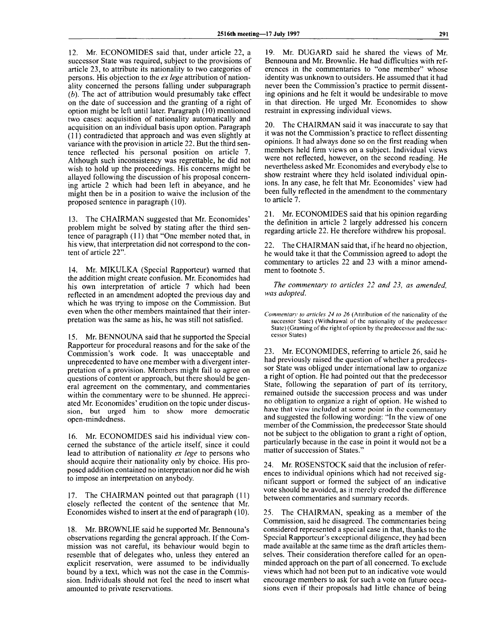12. Mr. ECONOMIDES said that, under article 22, a successor State was required, subject to the provisions of article 23, to attribute its nationality to two categories of persons. His objection to the *ex lege* attribution of nationality concerned the persons falling under subparagraph *(b).* The act of attribution would presumably take effect on the date of succession and the granting of a right of option might be left until later. Paragraph (10) mentioned two cases: acquisition of nationality automatically and acquisition on an individual basis upon option. Paragraph (11) contradicted that approach and was even slightly at variance with the provision in article 22. But the third sentence reflected his personal position on article 7. Although such inconsistency was regrettable, he did not wish to hold up the proceedings. His concerns might be allayed following the discussion of his proposal concerning article 2 which had been left in abeyance, and he might then be in a position to waive the inclusion of the proposed sentence in paragraph (10).

13. The CHAIRMAN suggested that Mr. Economides' problem might be solved by stating after the third sentence of paragraph (11) that "One member noted that, in his view, that interpretation did not correspond to the content of article 22".

14. Mr. MIKULKA (Special Rapporteur) warned that the addition might create confusion. Mr. Economides had his own interpretation of article 7 which had been reflected in an amendment adopted the previous day and which he was trying to impose on the Commission. But even when the other members maintained that their interpretation was the same as his, he was still not satisfied.

15. Mr. BENNOUNA said that he supported the Special Rapporteur for procedural reasons and for the sake of the Commission's work code. It was unacceptable and unprecedented to have one member with a divergent interpretation of a provision. Members might fail to agree on questions of content or approach, but there should be general agreement on the commentary, and commentaries within the commentary were to be shunned. He appreciated Mr. Economides' erudition on the topic under discussion, but urged him to show more democratic open-mindedness.

16. Mr. ECONOMIDES said his individual view concerned the substance of the article itself, since it could lead to attribution of nationality *ex lege* to persons who should acquire their nationality only by choice. His proposed addition contained no interpretation nor did he wish to impose an interpretation on anybody.

17. The CHAIRMAN pointed out that paragraph (11) closely reflected the content of the sentence that Mr. Economides wished to insert at the end of paragraph (10).

18. Mr. BROWNLIE said he supported Mr. Bennouna's observations regarding the general approach. If the Commission was not careful, its behaviour would begin to resemble that of delegates who, unless they entered an explicit reservation, were assumed to be individually bound by a text, which was not the case in the Commission. Individuals should not feel the need to insert what amounted to private reservations.

19. Mr. DUGARD said he shared the views of Mr. Bennouna and Mr. Brownlie. He had difficulties with references in the commentaries to "one member" whose identity was unknown to outsiders. He assumed that it had never been the Commission's practice to permit dissenting opinions and he felt it would be undesirable to move in that direction. He urged Mr. Economides to show restraint in expressing individual views.

20. The CHAIRMAN said it was inaccurate to say that it was not the Commission's practice to reflect dissenting opinions. It had always done so on the first reading when members held firm views on a subject. Individual views were not reflected, however, on the second reading. He nevertheless asked Mr. Economides and everybody else to show restraint where they held isolated individual opinions. In any case, he felt that Mr. Economides' view had been fully reflected in the amendment to the commentary to article 7.

21. Mr. ECONOMIDES said that his opinion regarding the definition in article 2 largely addressed his concern regarding article 22. He therefore withdrew his proposal.

22. The CHAIRMAN said that, if he heard no objection, he would take it that the Commission agreed to adopt the commentary to articles 22 and 23 with a minor amendment to footnote 5.

*The commentary to articles 22 and 23, as amended, was adopted.*

*Commentary to articles 24 to 26* (Attribution of the nationality of the successor State) (Withdrawal of the nationality of the predecessor State) (Granting of the right of option by the predecessor and the successor States)

23. Mr. ECONOMIDES, referring to article 26, said he had previously raised the question of whether a predecessor State was obliged under international law to organize a right of option. He had pointed out that the predecessor State, following the separation of part of its territory, remained outside the succession process and was under no obligation to organize a right of option. He wished to have that view included at some point in the commentary and suggested the following wording: "In the view of one member of the Commission, the predecessor State should not be subject to the obligation to grant a right of option, particularly because in the case in point it would not be a matter of succession of States."

Mr. ROSENSTOCK said that the inclusion of references to individual opinions which had not received significant support or formed the subject of an indicative vote should be avoided, as it merely eroded the difference between commentaries and summary records.

25. The CHAIRMAN, speaking as a member of the Commission, said he disagreed. The commentaries being considered represented a special case in that, thanks to the Special Rapporteur's exceptional diligence, they had been made available at the same time as the draft articles themselves. Their consideration therefore called for an openminded approach on the part of all concerned. To exclude views which had not been put to an indicative vote would encourage members to ask for such a vote on future occasions even if their proposals had little chance of being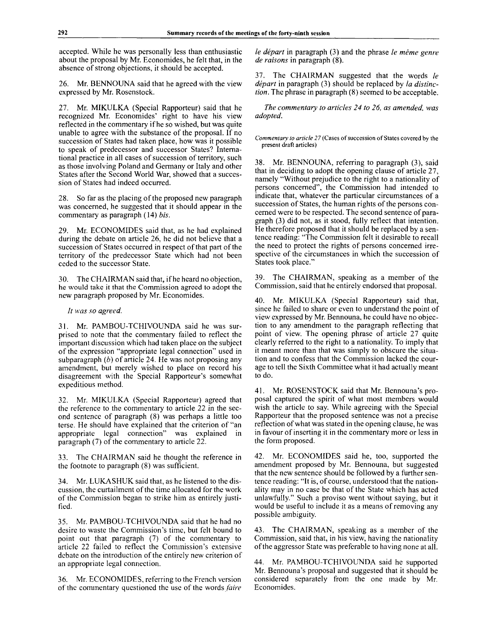accepted. While he was personally less than enthusiastic about the proposal by Mr. Economides, he felt that, in the absence of strong objections, it should be accepted.

26. Mr. BENNOUNA said that he agreed with the view expressed by Mr. Rosenstock.

27. Mr. MIKULKA (Special Rapporteur) said that he recognized Mr. Economides' right to have his view reflected in the commentary if he so wished, but was quite unable to agree with the substance of the proposal. If no succession of States had taken place, how was it possible to speak of predecessor and successor States? International practice in all cases of succession of territory, such as those involving Poland and Germany or Italy and other States after the Second World War, showed that a succession of States had indeed occurred.

28. So far as the placing of the proposed new paragraph was concerned, he suggested that it should appear in the commentary as paragraph (14) *bis.*

29. Mr. ECONOMIDES said that, as he had explained during the debate on article 26, he did not believe that a succession of States occurred in respect of that part of the territory of the predecessor State which had not been ceded to the successor State.

30. The CHAIRMAN said that, if he heard no objection, he would take it that the Commission agreed to adopt the new paragraph proposed by Mr. Economides.

#### *It was so agreed.*

31. Mr. PAMBOU-TCHIVOUNDA said he was surprised to note that the commentary failed to reflect the important discussion which had taken place on the subject of the expression "appropriate legal connection" used in subparagraph *(b)* of article 24. He was not proposing any amendment, but merely wished to place on record his disagreement with the Special Rapporteur's somewhat expeditious method.

32. Mr. MIKULKA (Special Rapporteur) agreed that the reference to the commentary to article 22 in the second sentence of paragraph (8) was perhaps a little too terse. He should have explained that the criterion of "an appropriate legal connection" was explained in paragraph (7) of the commentary to article 22.

33. The CHAIRMAN said he thought the reference in the footnote to paragraph (8) was sufficient.

34. Mr. LUKASHUK said that, as he listened to the discussion, the curtailment of the time allocated for the work of the Commission began to strike him as entirely justified.

35. Mr. PAMBOU-TCHIVOUNDA said that he had no desire to waste the Commission's time, but felt bound to point out that paragraph (7) of the commentary to article 22 failed to reflect the Commission's extensive debate on the introduction of the entirely new criterion of an appropriate legal connection.

36. Mr. ECONOMIDES, referring to the French version of the commentary questioned the use of the words *faire* *le depart* in paragraph (3) and the phrase *le meme genre de raisons* in paragraph (8).

37. The CHAIRMAN suggested that the words *le depart* in paragraph (3) should be replaced by *la distinction.* The phrase in paragraph (8) seemed to be acceptable.

*The commentary to articles 24 to 26, as amended, was adopted.*

*Commentary to article 27*(Cases of succession of States covered by the present draft articles)

38. Mr. BENNOUNA, referring to paragraph (3), said that in deciding to adopt the opening clause of article 27, namely "Without prejudice to the right to a nationality of persons concerned", the Commission had intended to indicate that, whatever the particular circumstances of a succession of States, the human rights of the persons concerned were to be respected. The second sentence of paragraph (3) did not, as it stood, fully reflect that intention. He therefore proposed that it should be replaced by a sentence reading: "The Commission felt it desirable to recall the need to protect the rights of persons concerned irrespective of the circumstances in which the succession of States took place."

39. The CHAIRMAN, speaking as a member of the Commission, said that he entirely endorsed that proposal.

40. Mr. MIKULKA (Special Rapporteur) said that, since he failed to share or even to understand the point of view expressed by Mr. Bennouna, he could have no objection to any amendment to the paragraph reflecting that point of view. The opening phrase of article 27 quite clearly referred to the right to a nationality. To imply that it meant more than that was simply to obscure the situation and to confess that the Commission lacked the courage to tell the Sixth Committee what it had actually meant to do.

41. Mr. ROSENSTOCK said that Mr. Bennouna's proposal captured the spirit of what most members would wish the article to say. While agreeing with the Special Rapporteur that the proposed sentence was not a precise reflection of what was stated in the opening clause, he was in favour of inserting it in the commentary more or less in the form proposed.

42. Mr. ECONOMIDES said he, too, supported the amendment proposed by Mr. Bennouna, but suggested that the new sentence should be followed by a further sentence reading: "It is, of course, understood that the nationality may in no case be that of the State which has acted unlawfully." Such a proviso went without saying, but it would be useful to include it as a means of removing any possible ambiguity.

43. The CHAIRMAN, speaking as a member of the Commission, said that, in his view, having the nationality of the aggressor State was preferable to having none at all.

44. Mr. PAMBOU-TCHIVOUNDA said he supported Mr. Bennouna's proposal and suggested that it should be considered separately from the one made by Mr. Economides.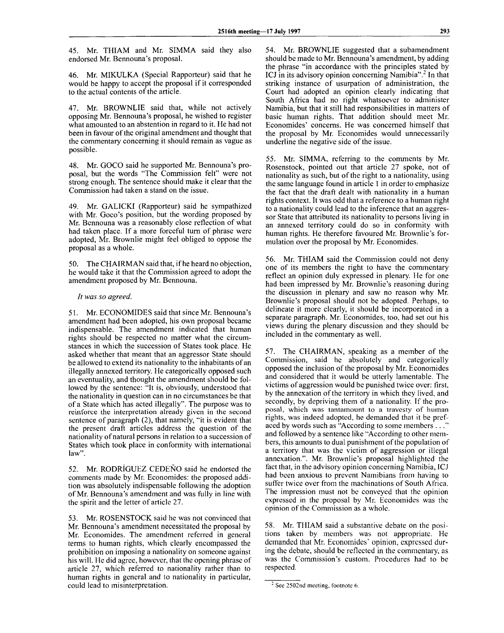45. Mr. THIAM and Mr. SIMMA said they also endorsed Mr. Bennouna's proposal.

46. Mr. MIKULKA (Special Rapporteur) said that he would be happy to accept the proposal if it corresponded to the actual contents of the article.

47. Mr. BROWNLIE said that, while not actively opposing Mr. Bennouna's proposal, he wished to register what amounted to an abstention in regard to it. He had not been in favour of the original amendment and thought that the commentary concerning it should remain as vague as possible.

48. Mr. GOCO said he supported Mr. Bennouna's proposal, but the words "The Commission felt" were not strong enough. The sentence should make it clear that the Commission had taken a stand on the issue.

49. Mr. GALICKI (Rapporteur) said he sympathized with Mr. Goco's position, but the wording proposed by Mr. Bennouna was a reasonably close reflection of what had taken place. If a more forceful turn of phrase were adopted, Mr. Brownlie might feel obliged to oppose the proposal as a whole.

50. The CHAIRMAN said that, if he heard no objection, he would take it that the Commission agreed to adopt the amendment proposed by Mr. Bennouna.

#### *It was so agreed.*

51. Mr. ECONOMIDES said that since Mr. Bennouna's amendment had been adopted, his own proposal became indispensable. The amendment indicated that human rights should be respected no matter what the circumstances in which the succession of States took place. He asked whether that meant that an aggressor State should be allowed to extend its nationality to the inhabitants of an illegally annexed territory. He categorically opposed such an eventuality, and thought the amendment should be followed by the sentence: "It is, obviously, understood that the nationality in question can in no circumstances be that of a State which has acted illegally". The purpose was to reinforce the interpretation already given in the second sentence of paragraph (2), that namely, "it is evident that the present draft articles address the question of the nationality of natural persons in relation to a succession of States which took place in conformity with international law".

52. Mr. RODRIGUEZ CEDENO said he endorsed the comments made by Mr. Economides: the proposed addition was absolutely indispensable following the adoption of Mr. Bennouna's amendment and was fully in line with the spirit and the letter of article 27.

53. Mr. ROSENSTOCK said he was not convinced that Mr. Bennouna's amendment necessitated the proposal by Mr. Economides. The amendment referred in general terms to human rights, which clearly encompassed the prohibition on imposing a nationality on someone against his will. He did agree, however, that the opening phrase of article 27, which referred to nationality rather than to human rights in general and to nationality in particular, could lead to misinterpretation.

54. Mr. BROWNLIE suggested that a subamendment should be made to Mr. Bennouna's amendment, by adding the phrase "in accordance with the principles stated by ICJ in its advisory opinion concerning Namibia".<sup>2</sup> In that striking instance of usurpation of administration, the Court had adopted an opinion clearly indicating that South Africa had no right whatsoever to administer Namibia, but that it still had responsibilities in matters of basic human rights. That addition should meet Mr. Economides' concerns. He was concerned himself that the proposal by Mr. Economides would unnecessarily underline the negative side of the issue.

55. Mr. SIMMA, referring to the comments by Mr. Rosenstock, pointed out that article 27 spoke, not of nationality as such, but of the right to a nationality, using the same language found in article 1 in order to emphasize the fact that the draft dealt with nationality in a human rights context. It was odd that a reference to a human right to a nationality could lead to the inference that an aggressor State that attributed its nationality to persons living in an annexed territory could do so in conformity with human rights. He therefore favoured Mr. Brownlie's formulation over the proposal by Mr. Economides.

56. Mr. THIAM said the Commission could not deny one of its members the right to have the commentary reflect an opinion duly expressed in plenary. He for one had been impressed by Mr. Brownlie's reasoning during the discussion in plenary and saw no reason why Mr. Brownlie's proposal should not be adopted. Perhaps, to delineate it more clearly, it should be incorporated in a separate paragraph. Mr. Economides, too, had set out his views during the plenary discussion and they should be included in the commentary as well.

57. The CHAIRMAN, speaking as a member of the Commission, said he absolutely and categorically opposed the inclusion of the proposal by Mr. Economides and considered that it would be utterly lamentable. The victims of aggression would be punished twice over: first, by the annexation of the territory in which they lived, and secondly, by depriving them of a nationality. If the proposal, which was tantamount to a travesty of human rights, was indeed adopted, he demanded that it be prefaced by words such as "According to some members . . ." and followed by a sentence like "According to other members, this amounts to dual punishment of the population of a territory that was the victim of aggression or illegal annexation.". Mr. Brownlie's proposal highlighted the fact that, in the advisory opinion concerning Namibia, ICJ had been anxious to prevent Namibians from having to suffer twice over from the machinations of South Africa. The impression must not be conveyed that the opinion expressed in the proposal by Mr. Economides was the opinion of the Commission as a whole.

58. Mr. THIAM said a substantive debate on the positions taken by members was not appropriate. He demanded that Mr. Economides' opinion, expressed during the debate, should be reflected in the commentary, as was the Commission's custom. Procedures had to be respected.

 $3$  See 2502nd meeting, footnote 6.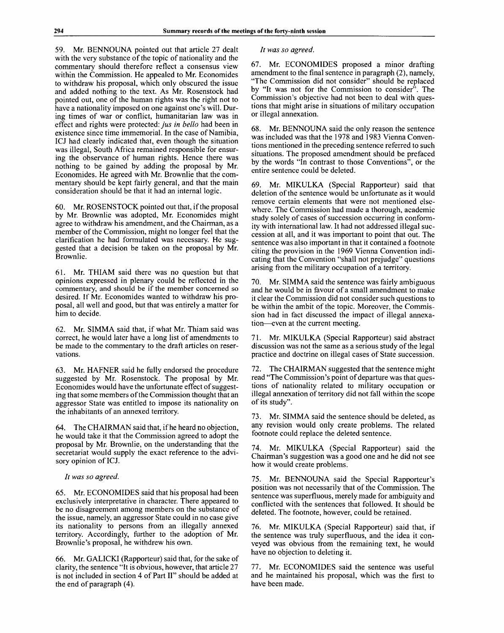59. Mr. BENNOUNA pointed out that article 27 dealt with the very substance of the topic of nationality and the commentary should therefore reflect a consensus view within the Commission. He appealed to Mr. Economides to withdraw his proposal, which only obscured the issue and added nothing to the text. As Mr. Rosenstock had pointed out, one of the human rights was the right not to have a nationality imposed on one against one's will. During times of war or conflict, humanitarian law was in effect and rights were protected: *jus in bello* had been in existence since time immemorial. In the case of Namibia, ICJ had clearly indicated that, even though the situation was illegal, South Africa remained responsible for ensuring the observance of human rights. Hence there was nothing to be gained by adding the proposal by Mr. Economides. He agreed with Mr. Brownlie that the commentary should be kept fairly general, and that the main consideration should be that it had an internal logic.

60. Mr. ROSENSTOCK pointed out that, if the proposal by Mr. Brownlie was adopted, Mr. Economides might agree to withdraw his amendment, and the Chairman, as a member of the Commission, might no longer feel that the clarification he had formulated was necessary. He suggested that a decision be taken on the proposal by Mr. Brownlie.

61. Mr. THIAM said there was no question but that opinions expressed in plenary could be reflected in the commentary, and should be if the member concerned so desired. If Mr. Economides wanted to withdraw his proposal, all well and good, but that was entirely a matter for him to decide.

62. Mr. SIMMA said that, if what Mr. Thiam said was correct, he would later have a long list of amendments to be made to the commentary to the draft articles on reservations.

63. Mr. HAFNER said he fully endorsed the procedure suggested by Mr. Rosenstock. The proposal by Mr. Economides would have the unfortunate effect of suggesting that some members of the Commission thought that an aggressor State was entitled to impose its nationality on the inhabitants of an annexed territory.

64. The CHAIRMAN said that, if he heard no objection, he would take it that the Commission agreed to adopt the proposal by Mr. Brownlie, on the understanding that the secretariat would supply the exact reference to the advisory opinion of ICJ.

#### *It was so agreed.*

65. Mr. ECONOMIDES said that his proposal had been exclusively interpretative in character. There appeared to be no disagreement among members on the substance of the issue, namely, an aggressor State could in no case give its nationality to persons from an illegally annexed territory. Accordingly, further to the adoption of Mr. Brownlie's proposal, he withdrew his own.

66. Mr. GALICKI (Rapporteur) said that, for the sake of clarity, the sentence "It is obvious, however, that article 27 is not included in section 4 of Part II" should be added at the end of paragraph (4).

*It was so agreed.*

67. Mr. ECONOMIDES proposed a minor drafting amendment to the final sentence in paragraph (2), namely, "The Commission did not consider" should be replaced by "It was not for the Commission to consider". The Commission's objective had not been to deal with questions that might arise in situations of military occupation or illegal annexation.

68. Mr. BENNOUNA said the only reason the sentence was included was that the 1978 and 1983 Vienna Conventions mentioned in the preceding sentence referred to such situations. The proposed amendment should be prefaced by the words "In contrast to those Conventions", or the entire sentence could be deleted.

69. Mr. MIKULKA (Special Rapporteur) said that deletion of the sentence would be unfortunate as it would remove certain elements that were not mentioned elsewhere. The Commission had made a thorough, academic study solely of cases of succession occurring in conformity with international law. It had not addressed illegal succession at all, and it was important to point that out. The sentence was also important in that it contained a footnote citing the provision in the 1969 Vienna Convention indicating that the Convention "shall not prejudge" questions arising from the military occupation of a territory.

70. Mr. SIMMA said the sentence was fairly ambiguous and he would be in favour of a small amendment to make it clear the Commission did not consider such questions to be within the ambit of the topic. Moreover, the Commission had in fact discussed the impact of illegal annexation—even at the current meeting.

71. Mr. MIKULKA (Special Rapporteur) said abstract discussion was not the same as a serious study of the legal practice and doctrine on illegal cases of State succession.

72. The CHAIRMAN suggested that the sentence might read "The Commission's point of departure was that questions of nationality related to military occupation or illegal annexation of territory did not fall within the scope of its study".

73. Mr. SIMMA said the sentence should be deleted, as any revision would only create problems. The related footnote could replace the deleted sentence.

74. Mr. MIKULKA (Special Rapporteur) said the Chairman's suggestion was a good one and he did not see how it would create problems.

75. Mr. BENNOUNA said the Special Rapporteur's position was not necessarily that of the Commission. The sentence was superfluous, merely made for ambiguity and conflicted with the sentences that followed. It should be deleted. The footnote, however, could be retained.

76. Mr. MIKULKA (Special Rapporteur) said that, if the sentence was truly superfluous, and the idea it conveyed was obvious from the remaining text, he would have no objection to deleting it.

77. Mr. ECONOMIDES said the sentence was useful and he maintained his proposal, which was the first to have been made.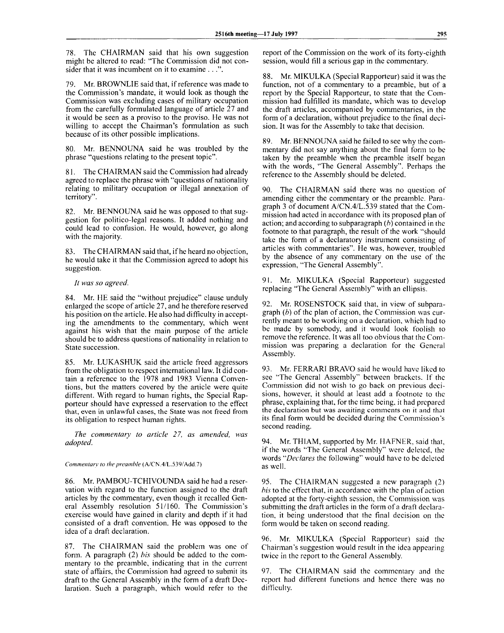78. The CHAIRMAN said that his own suggestion might be altered to read: "The Commission did not consider that it was incumbent on it to examine . . .".

Mr. BROWNLIE said that, if reference was made to the Commission's mandate, it would look as though the Commission was excluding cases of military occupation from the carefully formulated language of article 27 and it would be seen as a proviso to the proviso. He was not willing to accept the Chairman's formulation as such because of its other possible implications.

80. Mr. BENNOUNA said he was troubled by the phrase "questions relating to the present topic".

81. The CHAIRMAN said the Commission had already agreed to replace the phrase with "questions of nationality relating to military occupation or illegal annexation of territory".

82. Mr. BENNOUNA said he was opposed to that suggestion for politico-legal reasons. It added nothing and could lead to confusion. He would, however, go along with the majority.

83. The CHAIRMAN said that, if he heard no objection, he would take it that the Commission agreed to adopt his suggestion.

#### *It was so agreed.*

84. Mr. HE said the "without prejudice" clause unduly enlarged the scope of article 27, and he therefore reserved his position on the article. He also had difficulty in accepting the amendments to the commentary, which went against his wish that the main purpose of the article should be to address questions of nationality in relation to State succession.

85. Mr. LUKASHUK said the article freed aggressors from the obligation to respect international law. It did contain a reference to the 1978 and 1983 Vienna Conventions, but the matters covered by the article were quite different. With regard to human rights, the Special Rapporteur should have expressed a reservation to the effect that, even in unlawful cases, the State was not freed from its obligation to respect human rights.

*The commentary to article 27, as amended, was adopted.*

#### *Commentary to the preamble* (A/CN.4/L.539/Add.7)

86. Mr. PAMBOU-TCHIVOUNDA said he had a reservation with regard to the function assigned to the draft articles by the commentary, even though it recalled General Assembly resolution 51/160. The Commission's exercise would have gained in clarity and depth if it had consisted of a draft convention. He was opposed to the idea of a draft declaration.

87. The CHAIRMAN said the problem was one of form. A paragraph (2) *bis* should be added to the commentary to the preamble, indicating that in the current state of affairs, the Commission had agreed to submit its draft to the General Assembly in the form of a draft Declaration. Such a paragraph, which would refer to the report of the Commission on the work of its forty-eighth session, would fill a serious gap in the commentary.

88. Mr. MIKULKA (Special Rapporteur) said it was the function, not of a commentary to a preamble, but of a report by the Special Rapporteur, to state that the Commission had fulfilled its mandate, which was to develop the draft articles, accompanied by commentaries, in the form of a declaration, without prejudice to the final decision. It was for the Assembly to take that decision.

89. Mr. BENNOUNA said he failed to see why the commentary did not say anything about the final form to be taken by the preamble when the preamble itself began with the words, "The General Assembly". Perhaps the reference to the Assembly should be deleted.

90. The CHAIRMAN said there was no question of amending either the commentary or the preamble. Paragraph 3 of document A/CN.4/L.539 stated that the Commission had acted in accordance with its proposed plan of action; and according to subparagraph *{b)* contained in the footnote to that paragraph, the result of the work "should take the form of a declaratory instrument consisting of articles with commentaries". He was, however, troubled by the absence of any commentary on the use of the expression, "The General Assembly".

91. Mr. MIKULKA (Special Rapporteur) suggested replacing "The General Assembly" with an ellipsis.

92. Mr. ROSENSTOCK said that, in view of subparagraph *(b)* of the plan of action, the Commission was currently meant to be working on a declaration, which had to be made by somebody, and it would look foolish to remove the reference. It was all too obvious that the Commission was preparing a declaration for the General Assembly.

93. Mr. FERRARI BRAVO said he would have liked to see "The General Assembly" between brackets. If the Commission did not wish to go back on previous decisions, however, it should at least add a footnote to the phrase, explaining that, for the time being, it had prepared the declaration but was awaiting comments on it and that its final form would be decided during the Commission's second reading.

94. Mr. THIAM, supported by Mr. HAFNER, said that, if the words "The General Assembly" were deleted, the words *"Declares* the following" would have to be deleted as well.

95. The CHAIRMAN suggested a new paragraph (2) *bis* to the effect that, in accordance with the plan of action adopted at the forty-eighth session, the Commission was submitting the draft articles in the form of a draft declaration, it being understood that the final decision on the form would be taken on second reading.

96. Mr. MIKULKA (Special Rapporteur) said the Chairman's suggestion would result in the idea appearing twice in the report to the General Assembly.

97. The CHAIRMAN said the commentary and the report had different functions and hence there was no difficulty.